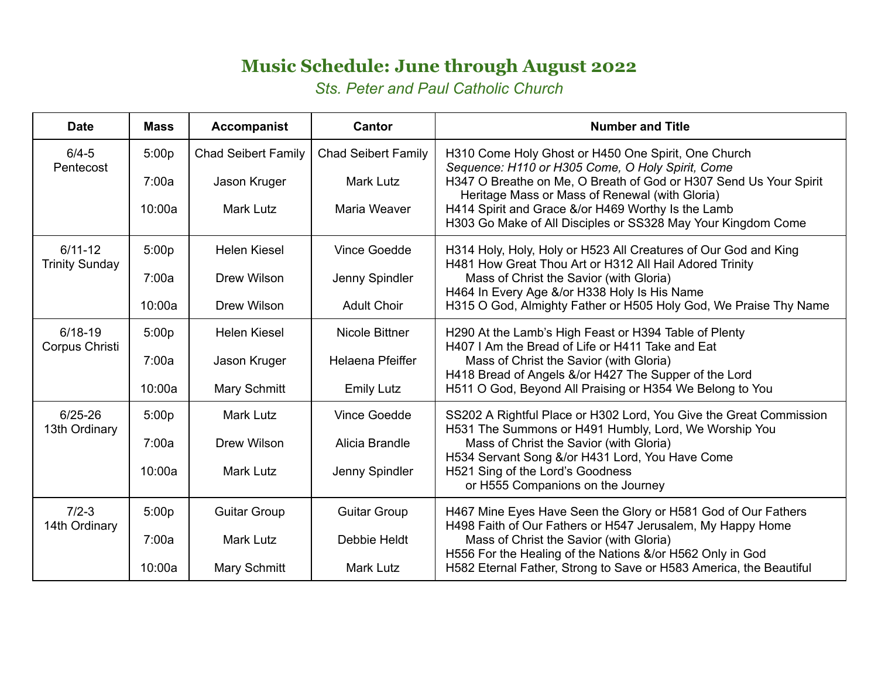## **Music Schedule: June through August 2022**

*Sts. Peter and Paul Catholic Church*

| <b>Date</b>                          | <b>Mass</b> | <b>Accompanist</b>         | Cantor                     | <b>Number and Title</b>                                                                                                                                                                                                                                                                                                                              |  |
|--------------------------------------|-------------|----------------------------|----------------------------|------------------------------------------------------------------------------------------------------------------------------------------------------------------------------------------------------------------------------------------------------------------------------------------------------------------------------------------------------|--|
| $6/4 - 5$<br>Pentecost               | 5:00p       | <b>Chad Seibert Family</b> | <b>Chad Seibert Family</b> | H310 Come Holy Ghost or H450 One Spirit, One Church<br>Sequence: H110 or H305 Come, O Holy Spirit, Come<br>H347 O Breathe on Me, O Breath of God or H307 Send Us Your Spirit<br>Heritage Mass or Mass of Renewal (with Gloria)<br>H414 Spirit and Grace &/or H469 Worthy Is the Lamb<br>H303 Go Make of All Disciples or SS328 May Your Kingdom Come |  |
|                                      | 7:00a       | Jason Kruger               | <b>Mark Lutz</b>           |                                                                                                                                                                                                                                                                                                                                                      |  |
|                                      | 10:00a      | <b>Mark Lutz</b>           | Maria Weaver               |                                                                                                                                                                                                                                                                                                                                                      |  |
| $6/11 - 12$<br><b>Trinity Sunday</b> | 5:00p       | <b>Helen Kiesel</b>        | Vince Goedde               | H314 Holy, Holy, Holy or H523 All Creatures of Our God and King<br>H481 How Great Thou Art or H312 All Hail Adored Trinity                                                                                                                                                                                                                           |  |
|                                      | 7:00a       | <b>Drew Wilson</b>         | Jenny Spindler             | Mass of Christ the Savior (with Gloria)<br>H464 In Every Age &/or H338 Holy Is His Name<br>H315 O God, Almighty Father or H505 Holy God, We Praise Thy Name                                                                                                                                                                                          |  |
|                                      | 10:00a      | Drew Wilson                | <b>Adult Choir</b>         |                                                                                                                                                                                                                                                                                                                                                      |  |
| $6/18-19$<br>Corpus Christi          | 5:00p       | <b>Helen Kiesel</b>        | <b>Nicole Bittner</b>      | H290 At the Lamb's High Feast or H394 Table of Plenty<br>H407 I Am the Bread of Life or H411 Take and Eat                                                                                                                                                                                                                                            |  |
|                                      | 7:00a       | Jason Kruger               | Helaena Pfeiffer           | Mass of Christ the Savior (with Gloria)<br>H418 Bread of Angels &/or H427 The Supper of the Lord<br>H511 O God, Beyond All Praising or H354 We Belong to You                                                                                                                                                                                         |  |
|                                      | 10:00a      | Mary Schmitt               | <b>Emily Lutz</b>          |                                                                                                                                                                                                                                                                                                                                                      |  |
| $6/25 - 26$<br>13th Ordinary         | 5:00p       | <b>Mark Lutz</b>           | Vince Goedde               | SS202 A Rightful Place or H302 Lord, You Give the Great Commission<br>H531 The Summons or H491 Humbly, Lord, We Worship You                                                                                                                                                                                                                          |  |
|                                      | 7:00a       | <b>Drew Wilson</b>         | Alicia Brandle             | Mass of Christ the Savior (with Gloria)<br>H534 Servant Song &/or H431 Lord, You Have Come<br>H521 Sing of the Lord's Goodness<br>or H555 Companions on the Journey                                                                                                                                                                                  |  |
|                                      | 10:00a      | <b>Mark Lutz</b>           | Jenny Spindler             |                                                                                                                                                                                                                                                                                                                                                      |  |
| $7/2 - 3$<br>14th Ordinary           | 5:00p       | <b>Guitar Group</b>        | <b>Guitar Group</b>        | H467 Mine Eyes Have Seen the Glory or H581 God of Our Fathers<br>H498 Faith of Our Fathers or H547 Jerusalem, My Happy Home<br>Mass of Christ the Savior (with Gloria)<br>H556 For the Healing of the Nations &/or H562 Only in God<br>H582 Eternal Father, Strong to Save or H583 America, the Beautiful                                            |  |
|                                      | 7:00a       | <b>Mark Lutz</b>           | Debbie Heldt               |                                                                                                                                                                                                                                                                                                                                                      |  |
|                                      | 10:00a      | Mary Schmitt               | <b>Mark Lutz</b>           |                                                                                                                                                                                                                                                                                                                                                      |  |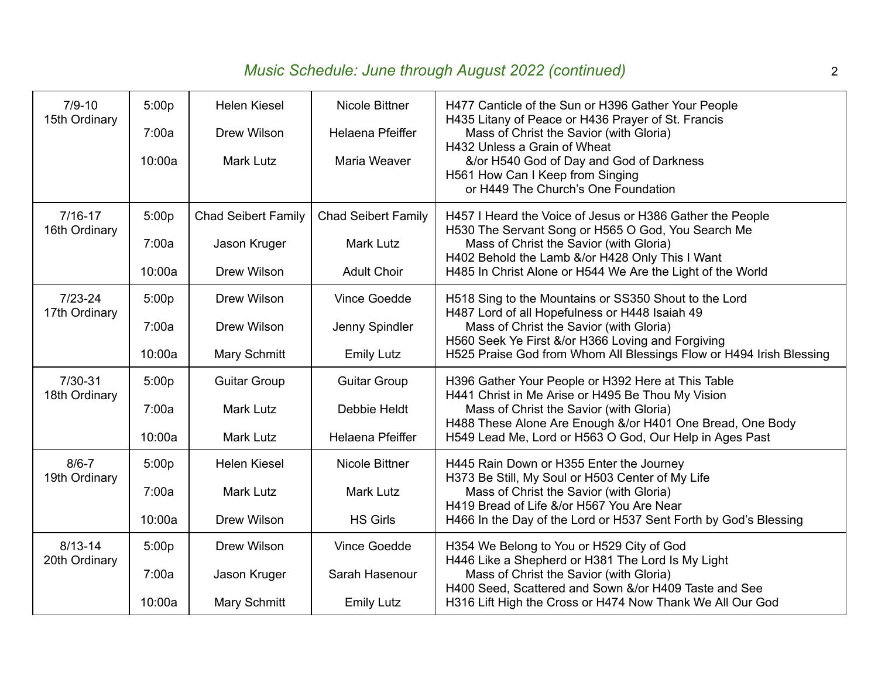## *Music Schedule: June through August 2022 (continued)* 2

| $7/9 - 10$<br>15th Ordinary  | 5:00p<br>7:00a<br>10:00a | <b>Helen Kiesel</b><br><b>Drew Wilson</b><br><b>Mark Lutz</b> | Nicole Bittner<br>Helaena Pfeiffer<br>Maria Weaver | H477 Canticle of the Sun or H396 Gather Your People<br>H435 Litany of Peace or H436 Prayer of St. Francis<br>Mass of Christ the Savior (with Gloria)<br>H432 Unless a Grain of Wheat<br>&/or H540 God of Day and God of Darkness<br>H561 How Can I Keep from Singing<br>or H449 The Church's One Foundation |  |
|------------------------------|--------------------------|---------------------------------------------------------------|----------------------------------------------------|-------------------------------------------------------------------------------------------------------------------------------------------------------------------------------------------------------------------------------------------------------------------------------------------------------------|--|
| $7/16 - 17$<br>16th Ordinary | 5:00p<br>7:00a           | <b>Chad Seibert Family</b><br>Jason Kruger                    | <b>Chad Seibert Family</b><br><b>Mark Lutz</b>     | H457 I Heard the Voice of Jesus or H386 Gather the People<br>H530 The Servant Song or H565 O God, You Search Me<br>Mass of Christ the Savior (with Gloria)<br>H402 Behold the Lamb &/or H428 Only This I Want<br>H485 In Christ Alone or H544 We Are the Light of the World                                 |  |
|                              | 10:00a                   | Drew Wilson                                                   | <b>Adult Choir</b>                                 |                                                                                                                                                                                                                                                                                                             |  |
| $7/23 - 24$<br>17th Ordinary | 5:00p                    | <b>Drew Wilson</b>                                            | <b>Vince Goedde</b>                                | H518 Sing to the Mountains or SS350 Shout to the Lord<br>H487 Lord of all Hopefulness or H448 Isaiah 49                                                                                                                                                                                                     |  |
|                              | 7:00a                    | <b>Drew Wilson</b>                                            | Jenny Spindler                                     | Mass of Christ the Savior (with Gloria)                                                                                                                                                                                                                                                                     |  |
|                              | 10:00a                   | Mary Schmitt                                                  | <b>Emily Lutz</b>                                  | H560 Seek Ye First &/or H366 Loving and Forgiving<br>H525 Praise God from Whom All Blessings Flow or H494 Irish Blessing                                                                                                                                                                                    |  |
| 7/30-31<br>18th Ordinary     | 5:00p                    | <b>Guitar Group</b>                                           | <b>Guitar Group</b>                                | H396 Gather Your People or H392 Here at This Table<br>H441 Christ in Me Arise or H495 Be Thou My Vision<br>Mass of Christ the Savior (with Gloria)<br>H488 These Alone Are Enough &/or H401 One Bread, One Body                                                                                             |  |
|                              | 7:00a                    | <b>Mark Lutz</b>                                              | Debbie Heldt                                       |                                                                                                                                                                                                                                                                                                             |  |
|                              | 10:00a                   | <b>Mark Lutz</b>                                              | Helaena Pfeiffer                                   | H549 Lead Me, Lord or H563 O God, Our Help in Ages Past                                                                                                                                                                                                                                                     |  |
| $8/6 - 7$<br>19th Ordinary   | 5:00p                    | <b>Helen Kiesel</b>                                           | Nicole Bittner                                     | H445 Rain Down or H355 Enter the Journey<br>H373 Be Still, My Soul or H503 Center of My Life<br>Mass of Christ the Savior (with Gloria)<br>H419 Bread of Life &/or H567 You Are Near<br>H466 In the Day of the Lord or H537 Sent Forth by God's Blessing                                                    |  |
|                              | 7:00a                    | <b>Mark Lutz</b>                                              | <b>Mark Lutz</b>                                   |                                                                                                                                                                                                                                                                                                             |  |
|                              | 10:00a                   | <b>Drew Wilson</b>                                            | <b>HS Girls</b>                                    |                                                                                                                                                                                                                                                                                                             |  |
| $8/13 - 14$<br>20th Ordinary | 5:00p                    | <b>Drew Wilson</b>                                            | Vince Goedde                                       | H354 We Belong to You or H529 City of God<br>H446 Like a Shepherd or H381 The Lord Is My Light<br>Mass of Christ the Savior (with Gloria)<br>H400 Seed, Scattered and Sown &/or H409 Taste and See<br>H316 Lift High the Cross or H474 Now Thank We All Our God                                             |  |
|                              | 7:00a                    | Jason Kruger                                                  | Sarah Hasenour                                     |                                                                                                                                                                                                                                                                                                             |  |
|                              | 10:00a                   | Mary Schmitt                                                  | <b>Emily Lutz</b>                                  |                                                                                                                                                                                                                                                                                                             |  |